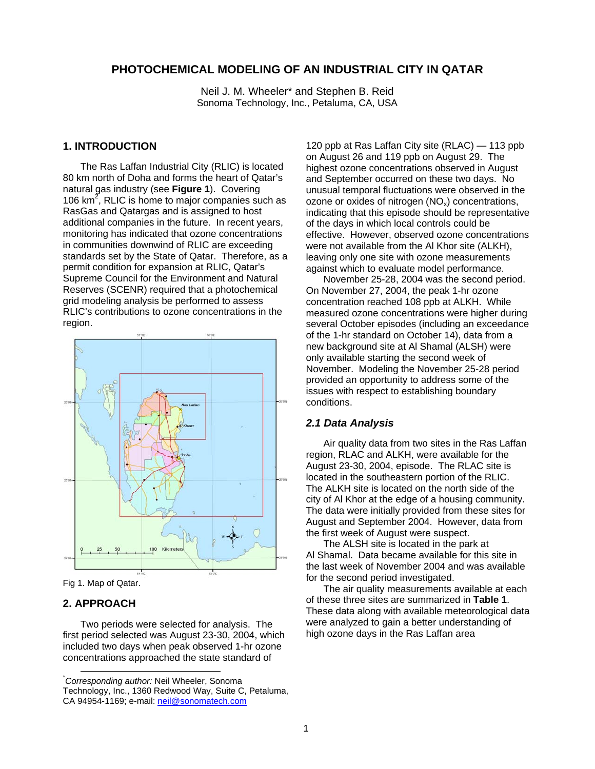# **PHOTOCHEMICAL MODELING OF AN INDUSTRIAL CITY IN QATAR**

Neil J. M. Wheeler\* and Stephen B. Reid Sonoma Technology, Inc., Petaluma, CA, USA

### **1. INTRODUCTION**

The Ras Laffan Industrial City (RLIC) is located 80 km north of Doha and forms the heart of Qatar's natural gas industry (see **Figure 1**). Covering 106  $km^2$ , RLIC is home to major companies such as RasGas and Qatargas and is assigned to host additional companies in the future. In recent years, monitoring has indicated that ozone concentrations in communities downwind of RLIC are exceeding standards set by the State of Qatar. Therefore, as a permit condition for expansion at RLIC, Qatar's Supreme Council for the Environment and Natural Reserves (SCENR) required that a photochemical grid modeling analysis be performed to assess RLIC's contributions to ozone concentrations in the region.



Fig 1. Map of Qatar.

### **2. APPROACH**

Two periods were selected for analysis. The first period selected was August 23-30, 2004, which included two days when peak observed 1-hr ozone concentrations approached the state standard of

120 ppb at Ras Laffan City site (RLAC) — 113 ppb on August 26 and 119 ppb on August 29. The highest ozone concentrations observed in August and September occurred on these two days. No unusual temporal fluctuations were observed in the ozone or oxides of nitrogen  $(NO_x)$  concentrations, indicating that this episode should be representative of the days in which local controls could be effective. However, observed ozone concentrations were not available from the Al Khor site (ALKH), leaving only one site with ozone measurements against which to evaluate model performance.

November 25-28, 2004 was the second period. On November 27, 2004, the peak 1-hr ozone concentration reached 108 ppb at ALKH. While measured ozone concentrations were higher during several October episodes (including an exceedance of the 1-hr standard on October 14), data from a new background site at Al Shamal (ALSH) were only available starting the second week of November. Modeling the November 25-28 period provided an opportunity to address some of the issues with respect to establishing boundary conditions.

#### *2.1 Data Analysis*

Air quality data from two sites in the Ras Laffan region, RLAC and ALKH, were available for the August 23-30, 2004, episode. The RLAC site is located in the southeastern portion of the RLIC. The ALKH site is located on the north side of the city of Al Khor at the edge of a housing community. The data were initially provided from these sites for August and September 2004. However, data from the first week of August were suspect.

The ALSH site is located in the park at Al Shamal. Data became available for this site in the last week of November 2004 and was available for the second period investigated.

The air quality measurements available at each of these three sites are summarized in **Table 1**. These data along with available meteorological data were analyzed to gain a better understanding of high ozone days in the Ras Laffan area

 <sup>\*</sup> *Corresponding author:* Neil Wheeler, Sonoma Technology, Inc., 1360 Redwood Way, Suite C, Petaluma, CA 94954-1169; e-mail: neil@sonomatech.com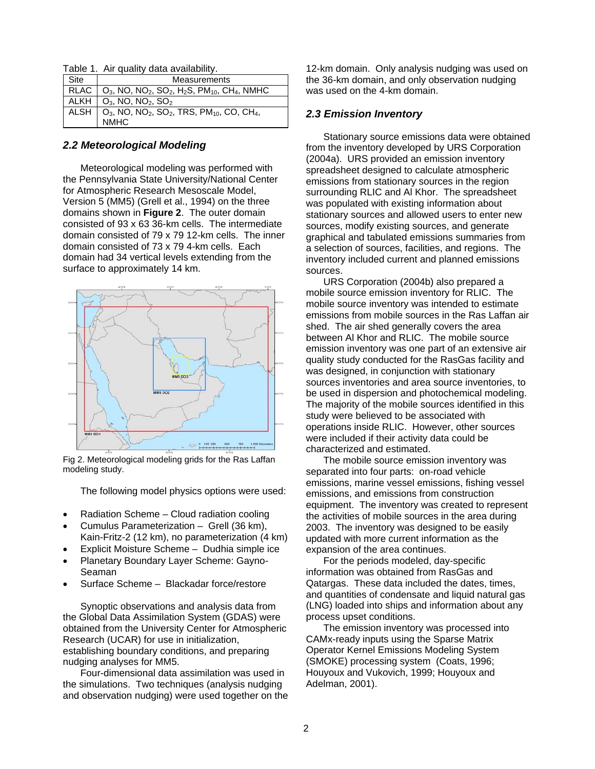Table 1. Air quality data availability.

| Site | <b>Measurements</b>                                                                                                         |
|------|-----------------------------------------------------------------------------------------------------------------------------|
|      | RLAC   $O_3$ , NO, NO <sub>2</sub> , SO <sub>2</sub> , H <sub>2</sub> S, PM <sub>10</sub> , CH <sub>4</sub> , NMHC          |
|      | ALKH   $O_3$ , NO, NO <sub>2</sub> , SO <sub>2</sub>                                                                        |
|      | ALSH $\Big $ O <sub>3</sub> , NO, NO <sub>2</sub> , SO <sub>2</sub> , TRS, PM <sub>10</sub> , CO, CH <sub>4</sub> ,<br>NMHC |

#### *2.2 Meteorological Modeling*

Meteorological modeling was performed with the Pennsylvania State University/National Center for Atmospheric Research Mesoscale Model, Version 5 (MM5) (Grell et al., 1994) on the three domains shown in **Figure 2**. The outer domain consisted of 93 x 63 36-km cells. The intermediate domain consisted of 79 x 79 12-km cells. The inner domain consisted of 73 x 79 4-km cells. Each domain had 34 vertical levels extending from the surface to approximately 14 km.



Fig 2. Meteorological modeling grids for the Ras Laffan modeling study.

The following model physics options were used:

- Radiation Scheme Cloud radiation cooling
- Cumulus Parameterization Grell (36 km), Kain-Fritz-2 (12 km), no parameterization (4 km)
- Explicit Moisture Scheme Dudhia simple ice
- Planetary Boundary Layer Scheme: Gayno-Seaman
- Surface Scheme Blackadar force/restore

Synoptic observations and analysis data from the Global Data Assimilation System (GDAS) were obtained from the University Center for Atmospheric Research (UCAR) for use in initialization, establishing boundary conditions, and preparing nudging analyses for MM5.

Four-dimensional data assimilation was used in the simulations. Two techniques (analysis nudging and observation nudging) were used together on the

12-km domain. Only analysis nudging was used on the 36-km domain, and only observation nudging was used on the 4-km domain.

### *2.3 Emission Inventory*

Stationary source emissions data were obtained from the inventory developed by URS Corporation (2004a). URS provided an emission inventory spreadsheet designed to calculate atmospheric emissions from stationary sources in the region surrounding RLIC and Al Khor. The spreadsheet was populated with existing information about stationary sources and allowed users to enter new sources, modify existing sources, and generate graphical and tabulated emissions summaries from a selection of sources, facilities, and regions. The inventory included current and planned emissions sources.

URS Corporation (2004b) also prepared a mobile source emission inventory for RLIC. The mobile source inventory was intended to estimate emissions from mobile sources in the Ras Laffan air shed. The air shed generally covers the area between Al Khor and RLIC. The mobile source emission inventory was one part of an extensive air quality study conducted for the RasGas facility and was designed, in conjunction with stationary sources inventories and area source inventories, to be used in dispersion and photochemical modeling. The majority of the mobile sources identified in this study were believed to be associated with operations inside RLIC. However, other sources were included if their activity data could be characterized and estimated.

The mobile source emission inventory was separated into four parts: on-road vehicle emissions, marine vessel emissions, fishing vessel emissions, and emissions from construction equipment. The inventory was created to represent the activities of mobile sources in the area during 2003. The inventory was designed to be easily updated with more current information as the expansion of the area continues.

For the periods modeled, day-specific information was obtained from RasGas and Qatargas. These data included the dates, times, and quantities of condensate and liquid natural gas (LNG) loaded into ships and information about any process upset conditions.

The emission inventory was processed into CAMx-ready inputs using the Sparse Matrix Operator Kernel Emissions Modeling System (SMOKE) processing system (Coats, 1996; Houyoux and Vukovich, 1999; Houyoux and Adelman, 2001).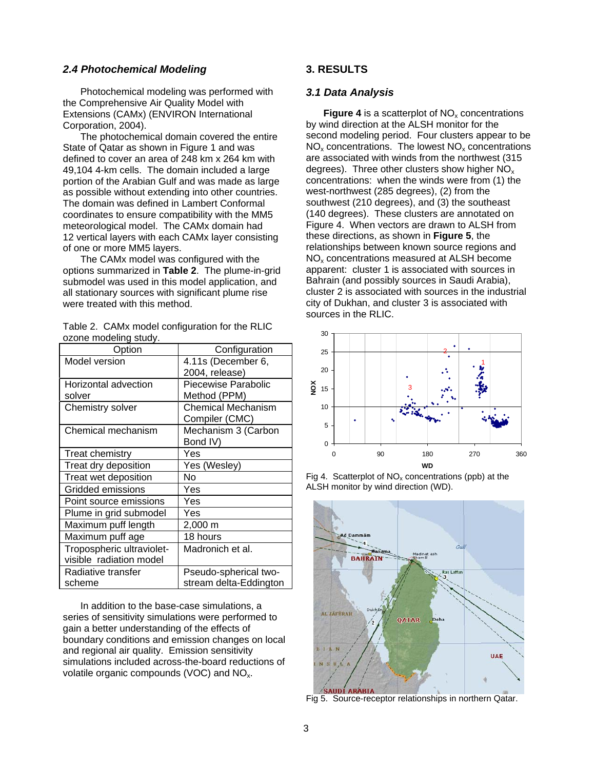### *2.4 Photochemical Modeling*

Photochemical modeling was performed with the Comprehensive Air Quality Model with Extensions (CAMx) (ENVIRON International Corporation, 2004).

The photochemical domain covered the entire State of Qatar as shown in Figure 1 and was defined to cover an area of 248 km x 264 km with 49,104 4-km cells. The domain included a large portion of the Arabian Gulf and was made as large as possible without extending into other countries. The domain was defined in Lambert Conformal coordinates to ensure compatibility with the MM5 meteorological model. The CAMx domain had 12 vertical layers with each CAMx layer consisting of one or more MM5 layers.

The CAMx model was configured with the options summarized in **Table 2**. The plume-in-grid submodel was used in this model application, and all stationary sources with significant plume rise were treated with this method.

Table 2. CAMx model configuration for the RLIC ozone modeling study.

| Option                                               | Configuration                                   |  |  |
|------------------------------------------------------|-------------------------------------------------|--|--|
| Model version                                        | 4.11s (December 6,<br>2004, release)            |  |  |
| Horizontal advection<br>solver                       | Piecewise Parabolic<br>Method (PPM)             |  |  |
| Chemistry solver                                     | Chemical Mechanism<br>Compiler (CMC)            |  |  |
| Chemical mechanism                                   | Mechanism 3 (Carbon<br>Bond IV)                 |  |  |
| Treat chemistry                                      | Yes                                             |  |  |
| Treat dry deposition                                 | Yes (Wesley)                                    |  |  |
| Treat wet deposition                                 | No                                              |  |  |
| Gridded emissions                                    | Yes                                             |  |  |
| Point source emissions                               | Yes                                             |  |  |
| Plume in grid submodel                               | Yes                                             |  |  |
| Maximum puff length                                  | 2,000 m                                         |  |  |
| Maximum puff age                                     | 18 hours                                        |  |  |
| Tropospheric ultraviolet-<br>visible radiation model | Madronich et al.                                |  |  |
| Radiative transfer<br>scheme                         | Pseudo-spherical two-<br>stream delta-Eddington |  |  |

In addition to the base-case simulations, a series of sensitivity simulations were performed to gain a better understanding of the effects of boundary conditions and emission changes on local and regional air quality. Emission sensitivity simulations included across-the-board reductions of volatile organic compounds (VOC) and NO<sub>x</sub>.

## **3. RESULTS**

#### *3.1 Data Analysis*

**Figure 4** is a scatterplot of  $NO<sub>x</sub>$  concentrations by wind direction at the ALSH monitor for the second modeling period. Four clusters appear to be  $NO<sub>x</sub>$  concentrations. The lowest  $NO<sub>x</sub>$  concentrations are associated with winds from the northwest (315 degrees). Three other clusters show higher  $NO<sub>x</sub>$ concentrations: when the winds were from (1) the west-northwest (285 degrees), (2) from the southwest (210 degrees), and (3) the southeast (140 degrees). These clusters are annotated on Figure 4. When vectors are drawn to ALSH from these directions, as shown in **Figure 5**, the relationships between known source regions and NOx concentrations measured at ALSH become apparent: cluster 1 is associated with sources in Bahrain (and possibly sources in Saudi Arabia), cluster 2 is associated with sources in the industrial city of Dukhan, and cluster 3 is associated with sources in the RLIC.







Fig 5. Source-receptor relationships in northern Qatar.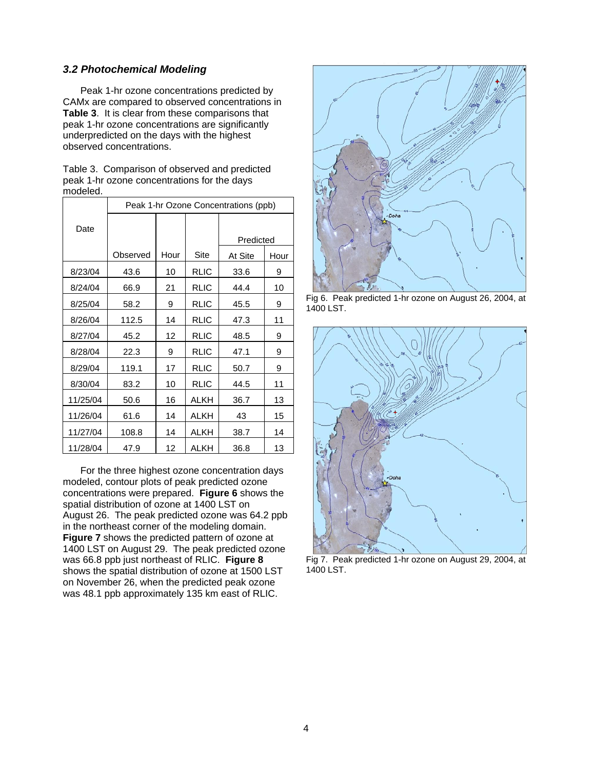## *3.2 Photochemical Modeling*

Peak 1-hr ozone concentrations predicted by CAMx are compared to observed concentrations in **Table 3**. It is clear from these comparisons that peak 1-hr ozone concentrations are significantly underpredicted on the days with the highest observed concentrations.

Table 3. Comparison of observed and predicted peak 1-hr ozone concentrations for the days modeled.

|          | Peak 1-hr Ozone Concentrations (ppb) |      |             |           |      |  |
|----------|--------------------------------------|------|-------------|-----------|------|--|
| Date     |                                      |      |             |           |      |  |
|          |                                      |      |             | Predicted |      |  |
|          | Observed                             | Hour | Site        | At Site   | Hour |  |
| 8/23/04  | 43.6                                 | 10   | <b>RLIC</b> | 33.6      | 9    |  |
| 8/24/04  | 66.9                                 | 21   | <b>RLIC</b> | 44.4      | 10   |  |
| 8/25/04  | 58.2                                 | 9    | <b>RLIC</b> | 45.5      | 9    |  |
| 8/26/04  | 112.5                                | 14   | <b>RLIC</b> | 47.3      | 11   |  |
| 8/27/04  | 45.2                                 | 12   | <b>RLIC</b> | 48.5      | 9    |  |
| 8/28/04  | 22.3                                 | 9    | <b>RLIC</b> | 47.1      | 9    |  |
| 8/29/04  | 119.1                                | 17   | <b>RLIC</b> | 50.7      | 9    |  |
| 8/30/04  | 83.2                                 | 10   | <b>RLIC</b> | 44.5      | 11   |  |
| 11/25/04 | 50.6                                 | 16   | <b>ALKH</b> | 36.7      | 13   |  |
| 11/26/04 | 61.6                                 | 14   | <b>ALKH</b> | 43        | 15   |  |
| 11/27/04 | 108.8                                | 14   | <b>ALKH</b> | 38.7      | 14   |  |
| 11/28/04 | 47.9                                 | 12   | ALKH        | 36.8      | 13   |  |

For the three highest ozone concentration days modeled, contour plots of peak predicted ozone concentrations were prepared. **Figure 6** shows the spatial distribution of ozone at 1400 LST on August 26. The peak predicted ozone was 64.2 ppb in the northeast corner of the modeling domain. **Figure 7** shows the predicted pattern of ozone at 1400 LST on August 29. The peak predicted ozone was 66.8 ppb just northeast of RLIC. **Figure 8** shows the spatial distribution of ozone at 1500 LST on November 26, when the predicted peak ozone was 48.1 ppb approximately 135 km east of RLIC.



Fig 6. Peak predicted 1-hr ozone on August 26, 2004, at 1400 LST.



Fig 7. Peak predicted 1-hr ozone on August 29, 2004, at 1400 LST.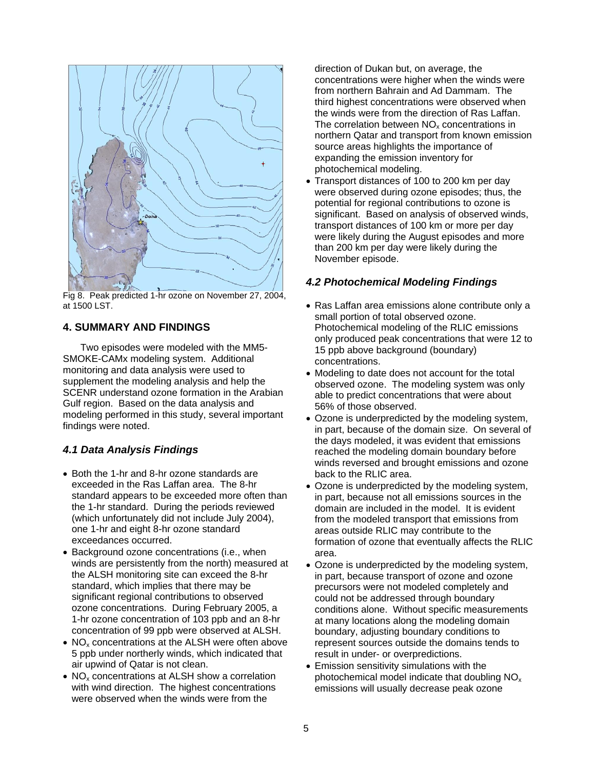

Fig 8. Peak predicted 1-hr ozone on November 27, 2004, at 1500 LST.

## **4. SUMMARY AND FINDINGS**

Two episodes were modeled with the MM5- SMOKE-CAMx modeling system. Additional monitoring and data analysis were used to supplement the modeling analysis and help the SCENR understand ozone formation in the Arabian Gulf region. Based on the data analysis and modeling performed in this study, several important findings were noted.

# *4.1 Data Analysis Findings*

- Both the 1-hr and 8-hr ozone standards are exceeded in the Ras Laffan area. The 8-hr standard appears to be exceeded more often than the 1-hr standard. During the periods reviewed (which unfortunately did not include July 2004), one 1-hr and eight 8-hr ozone standard exceedances occurred.
- Background ozone concentrations (i.e., when winds are persistently from the north) measured at the ALSH monitoring site can exceed the 8-hr standard, which implies that there may be significant regional contributions to observed ozone concentrations. During February 2005, a 1-hr ozone concentration of 103 ppb and an 8-hr concentration of 99 ppb were observed at ALSH.
- $\bullet$  NO<sub>x</sub> concentrations at the ALSH were often above 5 ppb under northerly winds, which indicated that air upwind of Qatar is not clean.
- NO<sub>x</sub> concentrations at ALSH show a correlation with wind direction. The highest concentrations were observed when the winds were from the

direction of Dukan but, on average, the concentrations were higher when the winds were from northern Bahrain and Ad Dammam. The third highest concentrations were observed when the winds were from the direction of Ras Laffan. The correlation between  $NO<sub>x</sub>$  concentrations in northern Qatar and transport from known emission source areas highlights the importance of expanding the emission inventory for photochemical modeling.

• Transport distances of 100 to 200 km per day were observed during ozone episodes; thus, the potential for regional contributions to ozone is significant. Based on analysis of observed winds, transport distances of 100 km or more per day were likely during the August episodes and more than 200 km per day were likely during the November episode.

# *4.2 Photochemical Modeling Findings*

- Ras Laffan area emissions alone contribute only a small portion of total observed ozone. Photochemical modeling of the RLIC emissions only produced peak concentrations that were 12 to 15 ppb above background (boundary) concentrations.
- Modeling to date does not account for the total observed ozone. The modeling system was only able to predict concentrations that were about 56% of those observed.
- Ozone is underpredicted by the modeling system, in part, because of the domain size. On several of the days modeled, it was evident that emissions reached the modeling domain boundary before winds reversed and brought emissions and ozone back to the RLIC area.
- Ozone is underpredicted by the modeling system, in part, because not all emissions sources in the domain are included in the model. It is evident from the modeled transport that emissions from areas outside RLIC may contribute to the formation of ozone that eventually affects the RLIC area.
- Ozone is underpredicted by the modeling system, in part, because transport of ozone and ozone precursors were not modeled completely and could not be addressed through boundary conditions alone. Without specific measurements at many locations along the modeling domain boundary, adjusting boundary conditions to represent sources outside the domains tends to result in under- or overpredictions.
- Emission sensitivity simulations with the photochemical model indicate that doubling NO<sub>x</sub> emissions will usually decrease peak ozone